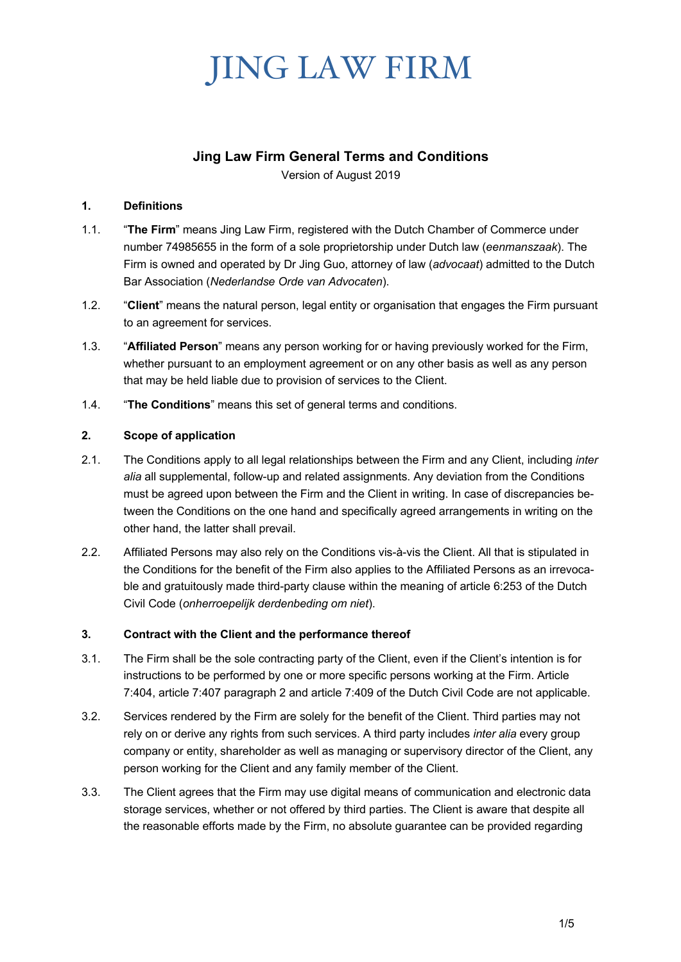## **Jing Law Firm General Terms and Conditions**

Version of August 2019

### **1. Definitions**

- 1.1. "**The Firm**" means Jing Law Firm, registered with the Dutch Chamber of Commerce under number 74985655 in the form of a sole proprietorship under Dutch law (*eenmanszaak*). The Firm is owned and operated by Dr Jing Guo, attorney of law (*advocaat*) admitted to the Dutch Bar Association (*Nederlandse Orde van Advocaten*).
- 1.2. "**Client**" means the natural person, legal entity or organisation that engages the Firm pursuant to an agreement for services.
- 1.3. "**Affiliated Person**" means any person working for or having previously worked for the Firm, whether pursuant to an employment agreement or on any other basis as well as any person that may be held liable due to provision of services to the Client.
- 1.4. "**The Conditions**" means this set of general terms and conditions.

## **2. Scope of application**

- 2.1. The Conditions apply to all legal relationships between the Firm and any Client, including *inter alia* all supplemental, follow-up and related assignments. Any deviation from the Conditions must be agreed upon between the Firm and the Client in writing. In case of discrepancies between the Conditions on the one hand and specifically agreed arrangements in writing on the other hand, the latter shall prevail.
- 2.2. Affiliated Persons may also rely on the Conditions vis-à-vis the Client. All that is stipulated in the Conditions for the benefit of the Firm also applies to the Affiliated Persons as an irrevocable and gratuitously made third-party clause within the meaning of article 6:253 of the Dutch Civil Code (*onherroepelijk derdenbeding om niet*).

### **3. Contract with the Client and the performance thereof**

- 3.1. The Firm shall be the sole contracting party of the Client, even if the Client's intention is for instructions to be performed by one or more specific persons working at the Firm. Article 7:404, article 7:407 paragraph 2 and article 7:409 of the Dutch Civil Code are not applicable.
- 3.2. Services rendered by the Firm are solely for the benefit of the Client. Third parties may not rely on or derive any rights from such services. A third party includes *inter alia* every group company or entity, shareholder as well as managing or supervisory director of the Client, any person working for the Client and any family member of the Client.
- 3.3. The Client agrees that the Firm may use digital means of communication and electronic data storage services, whether or not offered by third parties. The Client is aware that despite all the reasonable efforts made by the Firm, no absolute guarantee can be provided regarding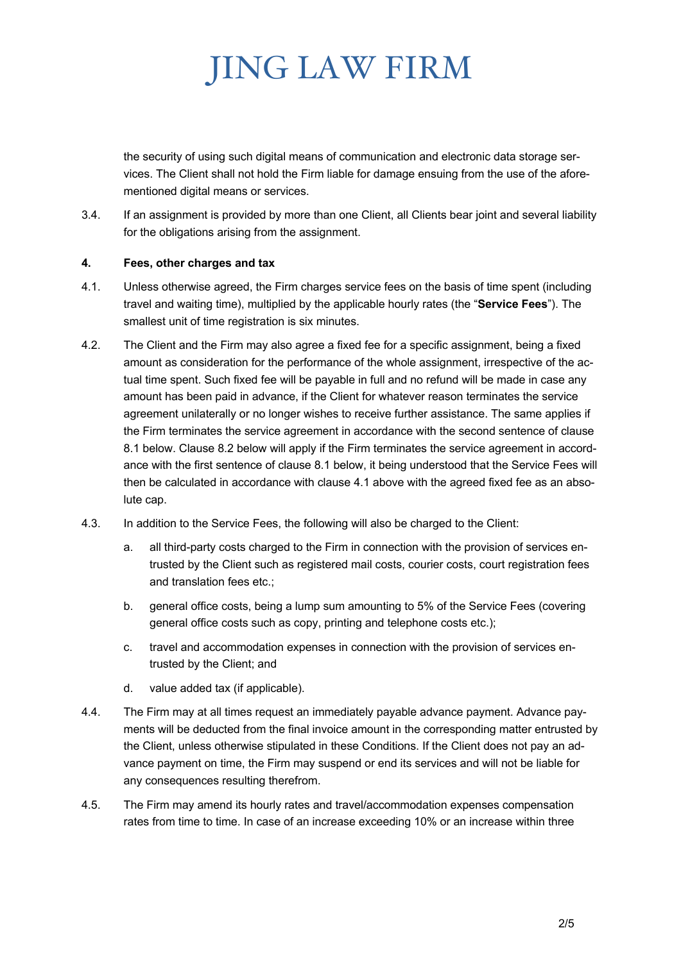the security of using such digital means of communication and electronic data storage services. The Client shall not hold the Firm liable for damage ensuing from the use of the aforementioned digital means or services.

3.4. If an assignment is provided by more than one Client, all Clients bear joint and several liability for the obligations arising from the assignment.

### **4. Fees, other charges and tax**

- 4.1. Unless otherwise agreed, the Firm charges service fees on the basis of time spent (including travel and waiting time), multiplied by the applicable hourly rates (the "**Service Fees**"). The smallest unit of time registration is six minutes.
- 4.2. The Client and the Firm may also agree a fixed fee for a specific assignment, being a fixed amount as consideration for the performance of the whole assignment, irrespective of the actual time spent. Such fixed fee will be payable in full and no refund will be made in case any amount has been paid in advance, if the Client for whatever reason terminates the service agreement unilaterally or no longer wishes to receive further assistance. The same applies if the Firm terminates the service agreement in accordance with the second sentence of clause 8.1 below. Clause 8.2 below will apply if the Firm terminates the service agreement in accordance with the first sentence of clause 8.1 below, it being understood that the Service Fees will then be calculated in accordance with clause 4.1 above with the agreed fixed fee as an absolute cap.
- 4.3. In addition to the Service Fees, the following will also be charged to the Client:
	- a. all third-party costs charged to the Firm in connection with the provision of services entrusted by the Client such as registered mail costs, courier costs, court registration fees and translation fees etc.;
	- b. general office costs, being a lump sum amounting to 5% of the Service Fees (covering general office costs such as copy, printing and telephone costs etc.);
	- c. travel and accommodation expenses in connection with the provision of services entrusted by the Client; and
	- d. value added tax (if applicable).
- 4.4. The Firm may at all times request an immediately payable advance payment. Advance payments will be deducted from the final invoice amount in the corresponding matter entrusted by the Client, unless otherwise stipulated in these Conditions. If the Client does not pay an advance payment on time, the Firm may suspend or end its services and will not be liable for any consequences resulting therefrom.
- 4.5. The Firm may amend its hourly rates and travel/accommodation expenses compensation rates from time to time. In case of an increase exceeding 10% or an increase within three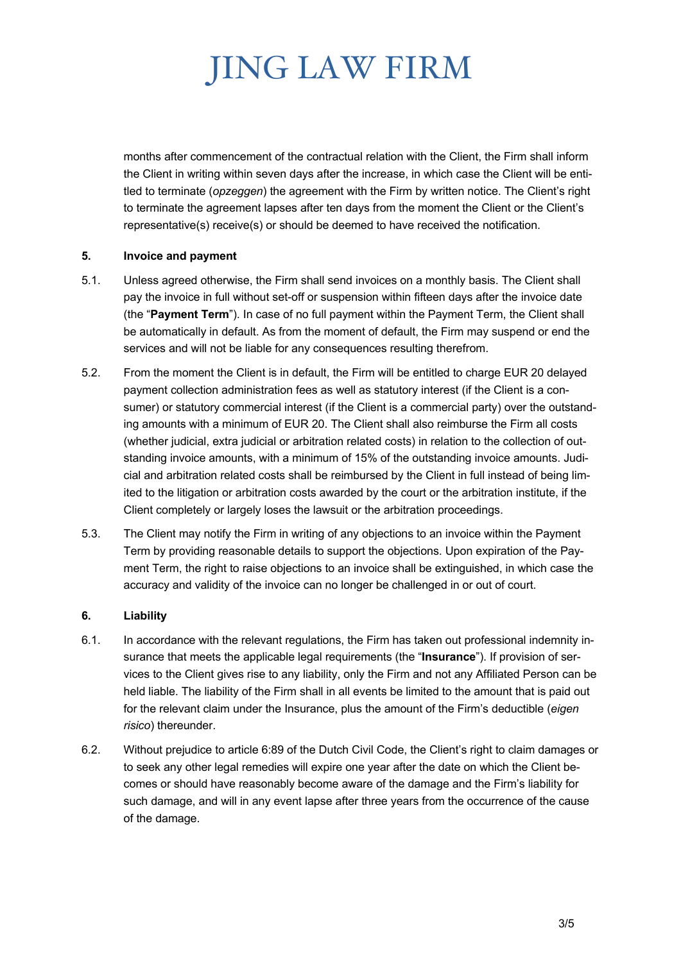months after commencement of the contractual relation with the Client, the Firm shall inform the Client in writing within seven days after the increase, in which case the Client will be entitled to terminate (*opzeggen*) the agreement with the Firm by written notice. The Client's right to terminate the agreement lapses after ten days from the moment the Client or the Client's representative(s) receive(s) or should be deemed to have received the notification.

### **5. Invoice and payment**

- 5.1. Unless agreed otherwise, the Firm shall send invoices on a monthly basis. The Client shall pay the invoice in full without set-off or suspension within fifteen days after the invoice date (the "**Payment Term**"). In case of no full payment within the Payment Term, the Client shall be automatically in default. As from the moment of default, the Firm may suspend or end the services and will not be liable for any consequences resulting therefrom.
- 5.2. From the moment the Client is in default, the Firm will be entitled to charge EUR 20 delayed payment collection administration fees as well as statutory interest (if the Client is a consumer) or statutory commercial interest (if the Client is a commercial party) over the outstanding amounts with a minimum of EUR 20. The Client shall also reimburse the Firm all costs (whether judicial, extra judicial or arbitration related costs) in relation to the collection of outstanding invoice amounts, with a minimum of 15% of the outstanding invoice amounts. Judicial and arbitration related costs shall be reimbursed by the Client in full instead of being limited to the litigation or arbitration costs awarded by the court or the arbitration institute, if the Client completely or largely loses the lawsuit or the arbitration proceedings.
- 5.3. The Client may notify the Firm in writing of any objections to an invoice within the Payment Term by providing reasonable details to support the objections. Upon expiration of the Payment Term, the right to raise objections to an invoice shall be extinguished, in which case the accuracy and validity of the invoice can no longer be challenged in or out of court.

#### **6. Liability**

- 6.1. In accordance with the relevant regulations, the Firm has taken out professional indemnity insurance that meets the applicable legal requirements (the "**Insurance**"). If provision of services to the Client gives rise to any liability, only the Firm and not any Affiliated Person can be held liable. The liability of the Firm shall in all events be limited to the amount that is paid out for the relevant claim under the Insurance, plus the amount of the Firm's deductible (*eigen risico*) thereunder.
- 6.2. Without prejudice to article 6:89 of the Dutch Civil Code, the Client's right to claim damages or to seek any other legal remedies will expire one year after the date on which the Client becomes or should have reasonably become aware of the damage and the Firm's liability for such damage, and will in any event lapse after three years from the occurrence of the cause of the damage.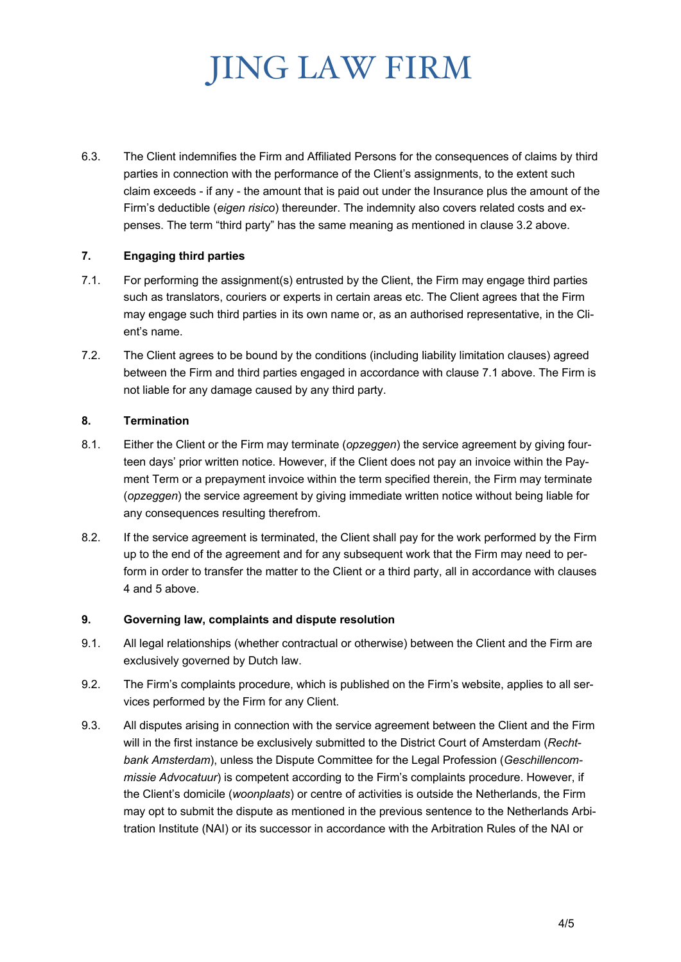6.3. The Client indemnifies the Firm and Affiliated Persons for the consequences of claims by third parties in connection with the performance of the Client's assignments, to the extent such claim exceeds - if any - the amount that is paid out under the Insurance plus the amount of the Firm's deductible (*eigen risico*) thereunder. The indemnity also covers related costs and expenses. The term "third party" has the same meaning as mentioned in clause 3.2 above.

### **7. Engaging third parties**

- 7.1. For performing the assignment(s) entrusted by the Client, the Firm may engage third parties such as translators, couriers or experts in certain areas etc. The Client agrees that the Firm may engage such third parties in its own name or, as an authorised representative, in the Client's name.
- 7.2. The Client agrees to be bound by the conditions (including liability limitation clauses) agreed between the Firm and third parties engaged in accordance with clause 7.1 above. The Firm is not liable for any damage caused by any third party.

#### **8. Termination**

- 8.1. Either the Client or the Firm may terminate (*opzeggen*) the service agreement by giving fourteen days' prior written notice. However, if the Client does not pay an invoice within the Payment Term or a prepayment invoice within the term specified therein, the Firm may terminate (*opzeggen*) the service agreement by giving immediate written notice without being liable for any consequences resulting therefrom.
- 8.2. If the service agreement is terminated, the Client shall pay for the work performed by the Firm up to the end of the agreement and for any subsequent work that the Firm may need to perform in order to transfer the matter to the Client or a third party, all in accordance with clauses 4 and 5 above.

#### **9. Governing law, complaints and dispute resolution**

- 9.1. All legal relationships (whether contractual or otherwise) between the Client and the Firm are exclusively governed by Dutch law.
- 9.2. The Firm's complaints procedure, which is published on the Firm's website, applies to all services performed by the Firm for any Client.
- 9.3. All disputes arising in connection with the service agreement between the Client and the Firm will in the first instance be exclusively submitted to the District Court of Amsterdam (*Rechtbank Amsterdam*), unless the Dispute Committee for the Legal Profession (*Geschillencommissie Advocatuur*) is competent according to the Firm's complaints procedure. However, if the Client's domicile (*woonplaats*) or centre of activities is outside the Netherlands, the Firm may opt to submit the dispute as mentioned in the previous sentence to the Netherlands Arbitration Institute (NAI) or its successor in accordance with the Arbitration Rules of the NAI or